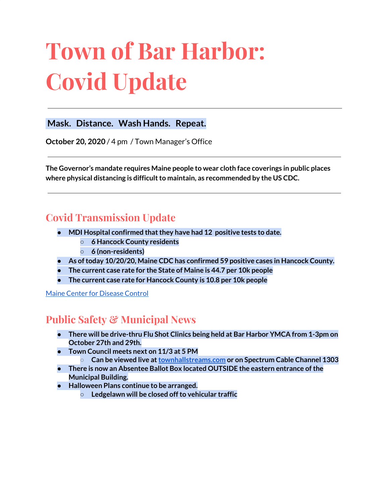# **Town of Bar Harbor: Covid Update**

#### **Mask. Distance. Wash Hands. Repeat.**

**October 20, 2020** / 4 pm / Town Manager's Office

**The Governor's mandate requires Maine people to wear cloth face coverings in public places where physical distancing is difficultto maintain, as recommended by the US CDC.**

# **Covid Transmission Update**

- **● MDI Hospital confirmed thatthey have had 12 positive tests to date.**
	- **○ 6 Hancock County residents**
	- **○ 6 (non-residents)**
- **● As oftoday 10/20/20, Maine CDC has confirmed 59 positive cases in Hancock County.**
- **● The current case rate for the State of Maine is 44.7 per 10k people**
- **● The current case rate for Hancock County is 10.8 per 10k people**

Maine Center for [Disease](https://www.maine.gov/dhhs/mecdc/infectious-disease/epi/airborne/coronavirus.shtml) Control

# **Public Safety & Municipal News**

- **There will be drive-thru Flu Shot Clinics being held at Bar Harbor YMCA from 1-3pm on October 27th and 29th.**
- **Town Council meets next on 11/3 at 5 PM**
	- **Can be viewed live at[townhallstreams.com](https://townhallstreams.com/) or on Spectrum Cable Channel 1303**
- **● There is now an Absentee Ballot Box located OUTSIDE the eastern entrance ofthe Municipal Building.**
- **● Halloween Plans continue to be arranged.**
	- **○ Ledgelawn will be closed offto vehicular traffic**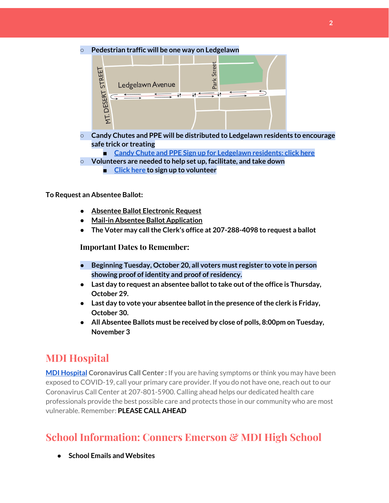**○ Pedestrian traffic will be one way on Ledgelawn**



- **○ Candy Chutes and PPE will be distributed to Ledgelawn residents to encourage safe trick or treating**
	- **■ Candy Chute and PPE Sign up for [Ledgelawn](https://forms.gle/juk9gruLLRRZzXw18) residents: click here**
- **○ Volunteers are needed to help set up, facilitate, and take down**
	- **■ [Click](https://forms.gle/BXtZUM59yrAWhhBw5) here to sign up to volunteer**

#### **To Request an Absentee Ballot:**

- **● Absentee Ballot [Electronic](https://apps.web.maine.gov/cgi-bin/online/AbsenteeBallot/index.pl) Request**
- **● Mail-in Absentee Ballot [Application](https://www.barharbormaine.gov/DocumentCenter/View/4362/2020-11-Absentee-Ballot-Application)**
- **● The Voter may callthe Clerk's office at 207-288-4098 to request a ballot**

#### **Important Dates to Remember:**

- **● Beginning Tuesday, October 20, all voters must register to vote in person showing proof of identity and proof of residency.**
- **•** Last day to request an absentee ballot to take out of the office is Thursday, **October 29.**
- **● Last day to vote your absentee ballotin the presence ofthe clerk is Friday, October 30.**
- **● All Absentee Ballots must be received by close of polls, 8:00pm on Tuesday, November 3**

# **MDI Hospital**

**MDI [Hospital](https://www.mdihospital.org/) Coronavirus Call Center :** If you are having symptoms or think you may have been exposed to COVID-19, call your primary care provider. If you do not have one, reach out to our Coronavirus Call Center at 207-801-5900. Calling ahead helps our dedicated health care professionals provide the best possible care and protects those in our community who are most vulnerable. Remember: **PLEASE CALL AHEAD**

# **School Information: Conners Emerson & MDI High School**

**● School Emails and Websites**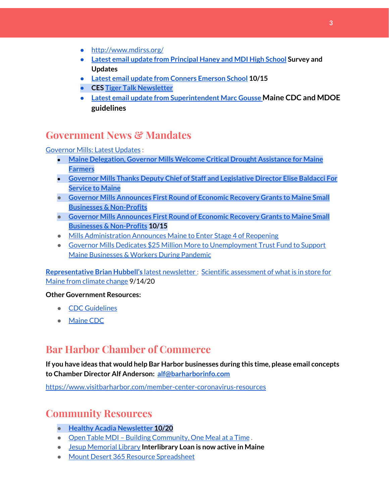- <http://www.mdirss.org/>
- **● Latest email update from [Principal](https://docs.google.com/document/d/1OKDsYNtOgV0FI9xAcXwQvenOKLV0S2vBg1o5jtu5CrE/edit?usp=sharing) Haney and MDI High School Survey and Updates**
- **● Latest email update from Conners [Emerson](https://docs.google.com/document/d/1v3pgkG6Q-9S3gisuUIj4etPVDwgBKl4P00JBkvZr-kk/edit?usp=sharing) School 10/15**
- **● CES Tiger Talk [Newsletter](https://sites.google.com/mdirss.org/conners-emerson-school/newsletter?authuser=0)**
- **● Latest email update from [Superintendent](https://docs.google.com/document/d/1fzeCbc8gpTSKmUaDoQH1Avx5PVl-h0reFphXrT1eUNA/edit?usp=sharing) Marc Gousse Maine CDC and MDOE guidelines**

### **Government News & Mandates**

[Governor](https://www.maine.gov/governor/mills/) Mills: Latest Updates :

- **● Maine [Delegation,](https://www.maine.gov/governor/mills/news/maine-delegation-governor-mills-welcome-critical-drought-assistance-maine-farmers-2020-10-20) Governor Mills Welcome Critical Drought Assistance for Maine [Farmers](https://www.maine.gov/governor/mills/news/maine-delegation-governor-mills-welcome-critical-drought-assistance-maine-farmers-2020-10-20)**
- **● Governor Mills Thanks Deputy Chief of Staff and [Legislative](https://www.maine.gov/governor/mills/news/governor-mills-thanks-deputy-chief-staff-and-legislative-director-elise-baldacci-service-maine) Director Elise Baldacci For [Service](https://www.maine.gov/governor/mills/news/governor-mills-thanks-deputy-chief-staff-and-legislative-director-elise-baldacci-service-maine) to Maine**
- **● Governor Mills [Announces](https://www.maine.gov/governor/mills/news/governor-mills-announces-first-round-economic-recovery-grants-maine-small-businesses-non) First Round of Economic Recovery Grants to Maine Small Businesses & [Non-Profits](https://www.maine.gov/governor/mills/news/governor-mills-announces-first-round-economic-recovery-grants-maine-small-businesses-non)**
- **● Governor Mills [Announces](https://www.maine.gov/governor/mills/news/governor-mills-announces-first-round-economic-recovery-grants-maine-small-businesses-non) First Round of Economic Recovery Grants to Maine Small Businesses & [Non-Profits](https://www.maine.gov/governor/mills/news/governor-mills-announces-first-round-economic-recovery-grants-maine-small-businesses-non) 10/15**
- Mills [Administration](https://www.maine.gov/governor/mills/news/mills-administration-announces-maine-enter-stage-4-reopening-2020-10-06) Announces Maine to Enter Stage 4 of Reopening
- Governor Mills Dedicates \$25 Million More to [Unemployment](https://www.maine.gov/governor/mills/news/governor-mills-dedicates-25-million-more-unemployment-trust-fund-support-maine-businesses) Trust Fund to Support Maine [Businesses](https://www.maine.gov/governor/mills/news/governor-mills-dedicates-25-million-more-unemployment-trust-fund-support-maine-businesses) & Workers During Pandemic

**[Representative](http://www.rephubbell.com/) Brian Hubbell's** latest [newsletter](http://www.rephubbell.com/) : Scientific [assessment](http://www.rephubbell.com/2020/09/14/scientific-assessment-of-what-is-in-store-for-maine-from-climate-change/) of what is in store for Maine from [climate](http://www.rephubbell.com/2020/09/14/scientific-assessment-of-what-is-in-store-for-maine-from-climate-change/) change 9/14/20

#### **Other Government Resources:**

- CDC [Guidelines](https://www.cdc.gov/coronavirus/2019-nCoV/index.html)
- [Maine](https://www.maine.gov/dhhs/mecdc/infectious-disease/epi/airborne/coronavirus.shtml#news) CDC

## **Bar Harbor Chamber of Commerce**

**If you have ideas that would help Bar Harbor businesses during this time, please email concepts to Chamber Director Alf Anderson: [alf@barharborinfo.com](mailto:alf@barharborinfo.com)**

<https://www.visitbarharbor.com/member-center-coronavirus-resources>

## **Community Resources**

- **● Healthy Acadia [Newsletter](https://mailchi.mp/healthyacadia.org/october_20_2020) 10/20**
- Open Table MDI Building [Community,](https://www.opentablemdi.org/) One Meal at a Time.
- Jesup [Memorial](https://jesuplibrary.org/) Library **Interlibrary Loan is now active in Maine**
- Mount Desert 365 Resource [Spreadsheet](https://docs.google.com/spreadsheets/d/1okAx6HSsgXZY9CGH07Dzi6rqe7a6m4dLCPKot2Li7Ek/edit?usp=sharing)